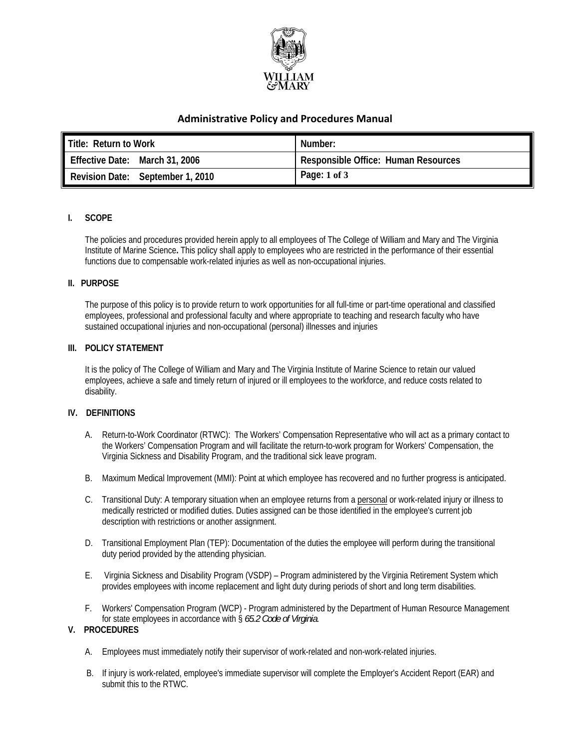

# **Administrative Policy and Procedures Manual**

| l Title: Return to Work          | Number:                             |
|----------------------------------|-------------------------------------|
| Effective Date: March 31, 2006   | Responsible Office: Human Resources |
| Revision Date: September 1, 2010 | Page: $1$ of $3$                    |

## **I. SCOPE**

The policies and procedures provided herein apply to all employees of The College of William and Mary and The Virginia Institute of Marine Science**.** This policy shall apply to employees who are restricted in the performance of their essential functions due to compensable work-related injuries as well as non-occupational injuries.

### **II. PURPOSE**

The purpose of this policy is to provide return to work opportunities for all full-time or part-time operational and classified employees, professional and professional faculty and where appropriate to teaching and research faculty who have sustained occupational injuries and non-occupational (personal) illnesses and injuries

### **III.** POLICY STATEMENT

It is the policy of The College of William and Mary and The Virginia Institute of Marine Science to retain our valued employees, achieve a safe and timely return of injured or ill employees to the workforce, and reduce costs related to disability.

## **IV. DEFINITIONS**

- A. Return-to-Work Coordinator (RTWC): The Workers' Compensation Representative who will act as a primary contact to the Workers' Compensation Program and will facilitate the return-to-work program for Workers' Compensation, the Virginia Sickness and Disability Program, and the traditional sick leave program.
- B. Maximum Medical Improvement (MMI): Point at which employee has recovered and no further progress is anticipated.
- C. Transitional Duty: A temporary situation when an employee returns from a personal or work-related injury or illness to medically restricted or modified duties. Duties assigned can be those identified in the employee's current job description with restrictions or another assignment.
- D. Transitional Employment Plan (TEP): Documentation of the duties the employee will perform during the transitional duty period provided by the attending physician.
- E. Virginia Sickness and Disability Program (VSDP) Program administered by the Virginia Retirement System which provides employees with income replacement and light duty during periods of short and long term disabilities.
- F. Workers' Compensation Program (WCP) Program administered by the Department of Human Resource Management for state employees in accordance with § *65.2 Code of Virginia*.

## **V. PROCEDURES**

- A. Employees must immediately notify their supervisor of work-related and non-work-related injuries.
- B. If injury is work-related, employee's immediate supervisor will complete the Employer's Accident Report (EAR) and submit this to the RTWC.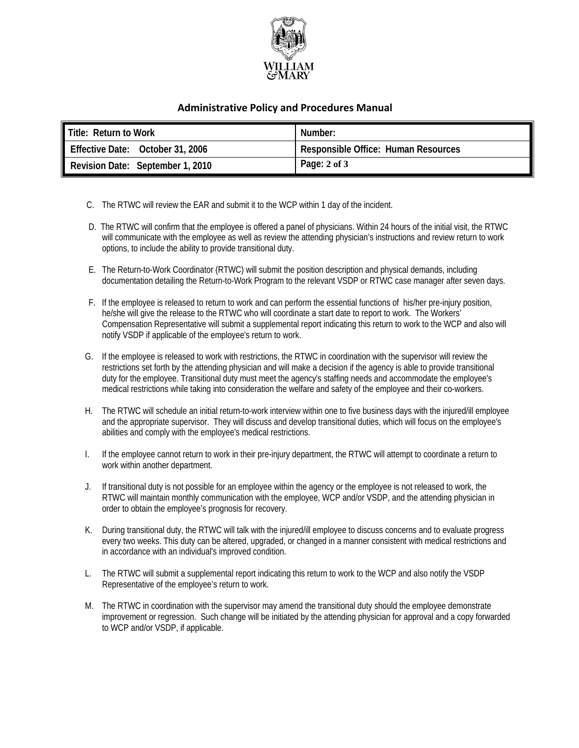

# **Administrative Policy and Procedures Manual**

| Title: Return to Work<br>Effective Date: October 31, 2006<br>Revision Date: September 1, 2010 | Number:                             |
|-----------------------------------------------------------------------------------------------|-------------------------------------|
|                                                                                               | Responsible Office: Human Resources |
|                                                                                               | Page: $2$ of $3$                    |

- C. The RTWC will review the EAR and submit it to the WCP within 1 day of the incident.
- D. The RTWC will confirm that the employee is offered a panel of physicians. Within 24 hours of the initial visit, the RTWC will communicate with the employee as well as review the attending physician's instructions and review return to work options, to include the ability to provide transitional duty.
- E. The Return-to-Work Coordinator (RTWC) will submit the position description and physical demands, including documentation detailing the Return-to-Work Program to the relevant VSDP or RTWC case manager after seven days.
- F. If the employee is released to return to work and can perform the essential functions of his/her pre-injury position, he/she will give the release to the RTWC who will coordinate a start date to report to work. The Workers' Compensation Representative will submit a supplemental report indicating this return to work to the WCP and also will notify VSDP if applicable of the employee's return to work.
- G. If the employee is released to work with restrictions, the RTWC in coordination with the supervisor will review the restrictions set forth by the attending physician and will make a decision if the agency is able to provide transitional duty for the employee. Transitional duty must meet the agency's staffing needs and accommodate the employee's medical restrictions while taking into consideration the welfare and safety of the employee and their co-workers.
- H. The RTWC will schedule an initial return-to-work interview within one to five business days with the injured/ill employee and the appropriate supervisor. They will discuss and develop transitional duties, which will focus on the employee's abilities and comply with the employee's medical restrictions.
- I. If the employee cannot return to work in their pre-injury department, the RTWC will attempt to coordinate a return to work within another department.
- J. If transitional duty is not possible for an employee within the agency or the employee is not released to work, the RTWC will maintain monthly communication with the employee, WCP and/or VSDP, and the attending physician in order to obtain the employee's prognosis for recovery.
- K. During transitional duty, the RTWC will talk with the injured/ill employee to discuss concerns and to evaluate progress every two weeks. This duty can be altered, upgraded, or changed in a manner consistent with medical restrictions and in accordance with an individual's improved condition.
- L. The RTWC will submit a supplemental report indicating this return to work to the WCP and also notify the VSDP Representative of the employee's return to work.
- M. The RTWC in coordination with the supervisor may amend the transitional duty should the employee demonstrate improvement or regression. Such change will be initiated by the attending physician for approval and a copy forwarded to WCP and/or VSDP, if applicable.